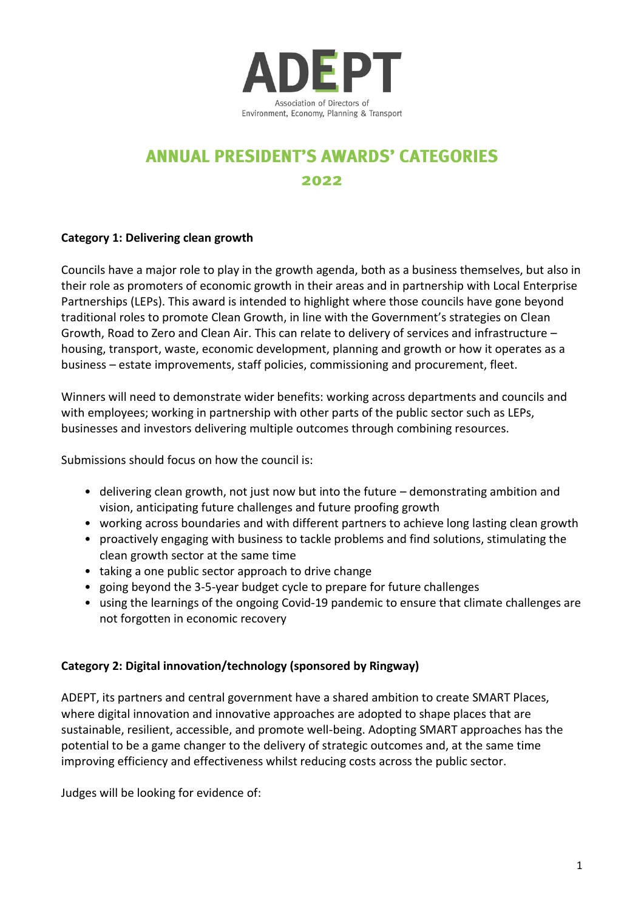

## **ANNUAL PRESIDENT'S AWARDS' CATEGORIES** 2022

## **Category 1: Delivering clean growth**

Councils have a major role to play in the growth agenda, both as a business themselves, but also in their role as promoters of economic growth in their areas and in partnership with Local Enterprise Partnerships (LEPs). This award is intended to highlight where those councils have gone beyond traditional roles to promote Clean Growth, in line with the Government's strategies on Clean Growth, Road to Zero and Clean Air. This can relate to delivery of services and infrastructure – housing, transport, waste, economic development, planning and growth or how it operates as a business – estate improvements, staff policies, commissioning and procurement, fleet.

Winners will need to demonstrate wider benefits: working across departments and councils and with employees; working in partnership with other parts of the public sector such as LEPs, businesses and investors delivering multiple outcomes through combining resources.

Submissions should focus on how the council is:

- delivering clean growth, not just now but into the future demonstrating ambition and vision, anticipating future challenges and future proofing growth
- working across boundaries and with different partners to achieve long lasting clean growth
- proactively engaging with business to tackle problems and find solutions, stimulating the clean growth sector at the same time
- taking a one public sector approach to drive change
- going beyond the 3-5-year budget cycle to prepare for future challenges
- using the learnings of the ongoing Covid-19 pandemic to ensure that climate challenges are not forgotten in economic recovery

## **Category 2: Digital innovation/technology (sponsored by Ringway)**

ADEPT, its partners and central government have a shared ambition to create SMART Places, where digital innovation and innovative approaches are adopted to shape places that are sustainable, resilient, accessible, and promote well-being. Adopting SMART approaches has the potential to be a game changer to the delivery of strategic outcomes and, at the same time improving efficiency and effectiveness whilst reducing costs across the public sector.

Judges will be looking for evidence of: